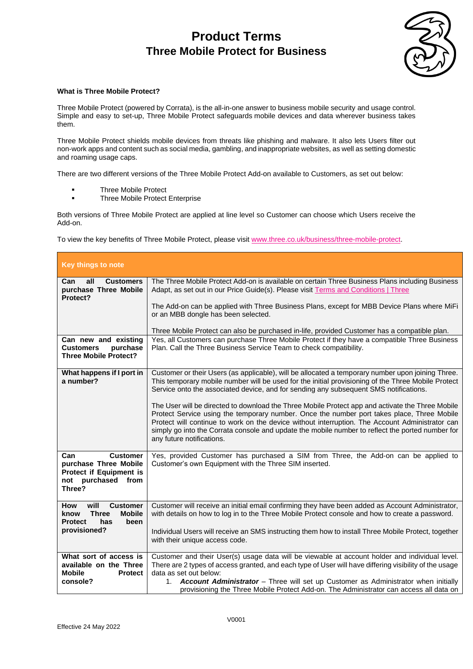

#### **What is Three Mobile Protect?**

Three Mobile Protect (powered by Corrata), is the all-in-one answer to business mobile security and usage control. Simple and easy to set-up, Three Mobile Protect safeguards mobile devices and data wherever business takes them.

Three Mobile Protect shields mobile devices from threats like phishing and malware. It also lets Users filter out non-work apps and content such as social media, gambling, and inappropriate websites, as well as setting domestic and roaming usage caps.

There are two different versions of the Three Mobile Protect Add-on available to Customers, as set out below:

- Three Mobile Protect
- Three Mobile Protect Enterprise

Both versions of Three Mobile Protect are applied at line level so Customer can choose which Users receive the Add-on.

To view the key benefits of Three Mobile Protect, please visit [www.three.co.uk/business/three-mobile-protect.](http://www.three.co.uk/business/three-mobile-protect)

| <b>Key things to note</b>                                                                                                |                                                                                                                                                                                                                                                                                                                                                                                                                                                                                                                                                                                                                                                                                                                                        |
|--------------------------------------------------------------------------------------------------------------------------|----------------------------------------------------------------------------------------------------------------------------------------------------------------------------------------------------------------------------------------------------------------------------------------------------------------------------------------------------------------------------------------------------------------------------------------------------------------------------------------------------------------------------------------------------------------------------------------------------------------------------------------------------------------------------------------------------------------------------------------|
| all<br><b>Customers</b><br>Can<br>purchase Three Mobile<br>Protect?                                                      | The Three Mobile Protect Add-on is available on certain Three Business Plans including Business<br>Adapt, as set out in our Price Guide(s). Please visit Terms and Conditions   Three<br>The Add-on can be applied with Three Business Plans, except for MBB Device Plans where MiFi<br>or an MBB dongle has been selected.<br>Three Mobile Protect can also be purchased in-life, provided Customer has a compatible plan.                                                                                                                                                                                                                                                                                                            |
| Can new and existing<br><b>Customers</b><br>purchase<br><b>Three Mobile Protect?</b>                                     | Yes, all Customers can purchase Three Mobile Protect if they have a compatible Three Business<br>Plan. Call the Three Business Service Team to check compatibility.                                                                                                                                                                                                                                                                                                                                                                                                                                                                                                                                                                    |
| What happens if I port in<br>a number?                                                                                   | Customer or their Users (as applicable), will be allocated a temporary number upon joining Three.<br>This temporary mobile number will be used for the initial provisioning of the Three Mobile Protect<br>Service onto the associated device, and for sending any subsequent SMS notifications.<br>The User will be directed to download the Three Mobile Protect app and activate the Three Mobile<br>Protect Service using the temporary number. Once the number port takes place, Three Mobile<br>Protect will continue to work on the device without interruption. The Account Administrator can<br>simply go into the Corrata console and update the mobile number to reflect the ported number for<br>any future notifications. |
| Can<br><b>Customer</b><br>purchase Three Mobile<br>Protect if Equipment is<br>not purchased<br>from<br>Three?            | Yes, provided Customer has purchased a SIM from Three, the Add-on can be applied to<br>Customer's own Equipment with the Three SIM inserted.                                                                                                                                                                                                                                                                                                                                                                                                                                                                                                                                                                                           |
| will<br><b>Customer</b><br>How<br><b>Mobile</b><br>know<br><b>Three</b><br>been<br><b>Protect</b><br>has<br>provisioned? | Customer will receive an initial email confirming they have been added as Account Administrator,<br>with details on how to log in to the Three Mobile Protect console and how to create a password.<br>Individual Users will receive an SMS instructing them how to install Three Mobile Protect, together<br>with their unique access code.                                                                                                                                                                                                                                                                                                                                                                                           |
| What sort of access is<br>available on the Three<br><b>Mobile</b><br><b>Protect</b><br>console?                          | Customer and their User(s) usage data will be viewable at account holder and individual level.<br>There are 2 types of access granted, and each type of User will have differing visibility of the usage<br>data as set out below:<br>1. <b>Account Administrator</b> – Three will set up Customer as Administrator when initially<br>provisioning the Three Mobile Protect Add-on. The Administrator can access all data on                                                                                                                                                                                                                                                                                                           |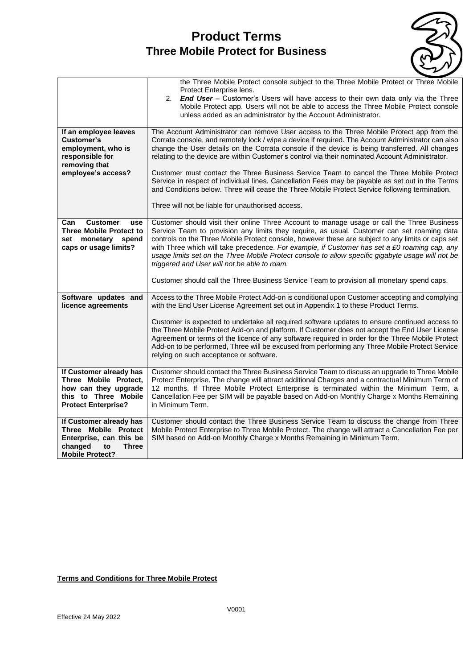

|                                                                                                                                       | the Three Mobile Protect console subject to the Three Mobile Protect or Three Mobile<br>Protect Enterprise lens.<br>2.<br><b>End User</b> – Customer's Users will have access to their own data only via the Three                                                                                                                                                                                                                                                                                                                                   |
|---------------------------------------------------------------------------------------------------------------------------------------|------------------------------------------------------------------------------------------------------------------------------------------------------------------------------------------------------------------------------------------------------------------------------------------------------------------------------------------------------------------------------------------------------------------------------------------------------------------------------------------------------------------------------------------------------|
|                                                                                                                                       | Mobile Protect app. Users will not be able to access the Three Mobile Protect console<br>unless added as an administrator by the Account Administrator.                                                                                                                                                                                                                                                                                                                                                                                              |
| If an employee leaves<br>Customer's<br>employment, who is<br>responsible for<br>removing that                                         | The Account Administrator can remove User access to the Three Mobile Protect app from the<br>Corrata console, and remotely lock / wipe a device if required. The Account Administrator can also<br>change the User details on the Corrata console if the device is being transferred. All changes<br>relating to the device are within Customer's control via their nominated Account Administrator.                                                                                                                                                 |
| employee's access?                                                                                                                    | Customer must contact the Three Business Service Team to cancel the Three Mobile Protect<br>Service in respect of individual lines. Cancellation Fees may be payable as set out in the Terms<br>and Conditions below. Three will cease the Three Mobile Protect Service following termination.                                                                                                                                                                                                                                                       |
|                                                                                                                                       | Three will not be liable for unauthorised access.                                                                                                                                                                                                                                                                                                                                                                                                                                                                                                    |
| <b>Customer</b><br>Can<br><b>use</b><br><b>Three Mobile Protect to</b><br>monetary spend<br>set<br>caps or usage limits?              | Customer should visit their online Three Account to manage usage or call the Three Business<br>Service Team to provision any limits they require, as usual. Customer can set roaming data<br>controls on the Three Mobile Protect console, however these are subject to any limits or caps set<br>with Three which will take precedence. For example, if Customer has set a £0 roaming cap, any<br>usage limits set on the Three Mobile Protect console to allow specific gigabyte usage will not be<br>triggered and User will not be able to roam. |
|                                                                                                                                       | Customer should call the Three Business Service Team to provision all monetary spend caps.                                                                                                                                                                                                                                                                                                                                                                                                                                                           |
| Software updates and<br>licence agreements                                                                                            | Access to the Three Mobile Protect Add-on is conditional upon Customer accepting and complying<br>with the End User License Agreement set out in Appendix 1 to these Product Terms.                                                                                                                                                                                                                                                                                                                                                                  |
|                                                                                                                                       | Customer is expected to undertake all required software updates to ensure continued access to<br>the Three Mobile Protect Add-on and platform. If Customer does not accept the End User License<br>Agreement or terms of the licence of any software required in order for the Three Mobile Protect<br>Add-on to be performed, Three will be excused from performing any Three Mobile Protect Service<br>relying on such acceptance or software.                                                                                                     |
| If Customer already has<br>Three Mobile Protect,<br>how can they upgrade<br>this to Three Mobile<br><b>Protect Enterprise?</b>        | Customer should contact the Three Business Service Team to discuss an upgrade to Three Mobile<br>Protect Enterprise. The change will attract additional Charges and a contractual Minimum Term of<br>12 months. If Three Mobile Protect Enterprise is terminated within the Minimum Term, a<br>Cancellation Fee per SIM will be payable based on Add-on Monthly Charge x Months Remaining<br>in Minimum Term.                                                                                                                                        |
| If Customer already has<br>Three Mobile Protect<br>Enterprise, can this be<br>changed<br><b>Three</b><br>to<br><b>Mobile Protect?</b> | Customer should contact the Three Business Service Team to discuss the change from Three<br>Mobile Protect Enterprise to Three Mobile Protect. The change will attract a Cancellation Fee per<br>SIM based on Add-on Monthly Charge x Months Remaining in Minimum Term.                                                                                                                                                                                                                                                                              |

## **Terms and Conditions for Three Mobile Protect**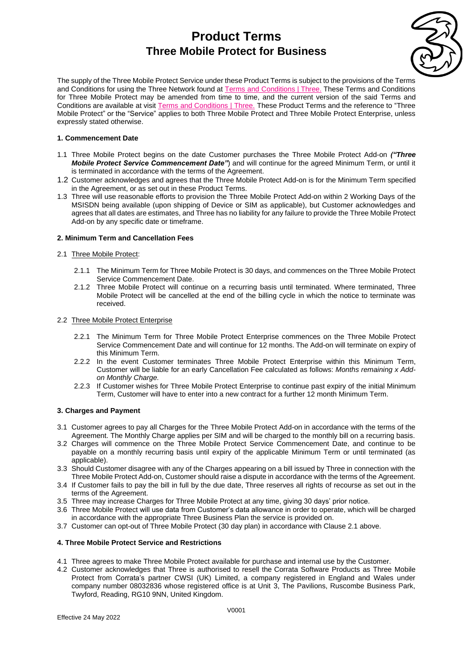

The supply of the Three Mobile Protect Service under these Product Terms is subject to the provisions of the Terms and Conditions for using the Three Network found at [Terms and Conditions | Three.](https://www.three.co.uk/terms-conditions) These Terms and Conditions for Three Mobile Protect may be amended from time to time, and the current version of the said Terms and Conditions are available at visit [Terms and Conditions | Three.](https://www.three.co.uk/terms-conditions) These Product Terms and the reference to "Three Mobile Protect" or the "Service" applies to both Three Mobile Protect [and Three Mobile Protect Enterprise,](https://www.three.co.uk/terms-conditions) unless [expressly stated otherwise.](https://www.three.co.uk/business/business-product-terms)

#### **1. Commencement Date**

- 1.1 Three Mobile Protect begins on the date Customer purchases the Three Mobile Protect Add-on *("Three Mobile Protect Service Commencement Date"*) and will continue for the agreed Minimum Term, or until it is terminated in accordance with the terms of the Agreement.
- 1.2 Customer acknowledges and agrees that the Three Mobile Protect Add-on is for the Minimum Term specified in the Agreement, or as set out in these Product Terms.
- 1.3 Three will use reasonable efforts to provision the Three Mobile Protect Add-on within 2 Working Days of the MSISDN being available (upon shipping of Device or SIM as applicable), but Customer acknowledges and agrees that all dates are estimates, and Three has no liability for any failure to provide the Three Mobile Protect Add-on by any specific date or timeframe.

#### **2. Minimum Term and Cancellation Fees**

#### 2.1 Three Mobile Protect:

- 2.1.1 The Minimum Term for Three Mobile Protect is 30 days, and commences on the Three Mobile Protect Service Commencement Date.
- 2.1.2 Three Mobile Protect will continue on a recurring basis until terminated. Where terminated, Three Mobile Protect will be cancelled at the end of the billing cycle in which the notice to terminate was received.

#### 2.2 Three Mobile Protect Enterprise

- 2.2.1 The Minimum Term for Three Mobile Protect Enterprise commences on the Three Mobile Protect Service Commencement Date and will continue for 12 months. The Add-on will terminate on expiry of this Minimum Term.
- 2.2.2 In the event Customer terminates Three Mobile Protect Enterprise within this Minimum Term, Customer will be liable for an early Cancellation Fee calculated as follows: *Months remaining x Addon Monthly Charge.*
- 2.2.3 If Customer wishes for Three Mobile Protect Enterprise to continue past expiry of the initial Minimum Term, Customer will have to enter into a new contract for a further 12 month Minimum Term.

#### **3. Charges and Payment**

- 3.1 Customer agrees to pay all Charges for the Three Mobile Protect Add-on in accordance with the terms of the Agreement. The Monthly Charge applies per SIM and will be charged to the monthly bill on a recurring basis.
- 3.2 Charges will commence on the Three Mobile Protect Service Commencement Date, and continue to be payable on a monthly recurring basis until expiry of the applicable Minimum Term or until terminated (as applicable).
- 3.3 Should Customer disagree with any of the Charges appearing on a bill issued by Three in connection with the Three Mobile Protect Add-on, Customer should raise a dispute in accordance with the terms of the Agreement.
- 3.4 If Customer fails to pay the bill in full by the due date, Three reserves all rights of recourse as set out in the terms of the Agreement.
- 3.5 Three may increase Charges for Three Mobile Protect at any time, giving 30 days' prior notice.
- 3.6 Three Mobile Protect will use data from Customer's data allowance in order to operate, which will be charged in accordance with the appropriate Three Business Plan the service is provided on.
- 3.7 Customer can opt-out of Three Mobile Protect (30 day plan) in accordance with Clause 2.1 above.

#### **4. Three Mobile Protect Service and Restrictions**

- 4.1 Three agrees to make Three Mobile Protect available for purchase and internal use by the Customer.
- 4.2 Customer acknowledges that Three is authorised to resell the Corrata Software Products as Three Mobile Protect from Corrata's partner CWSI (UK) Limited, a company registered in England and Wales under company number 08032836 whose registered office is at Unit 3, The Pavilions, Ruscombe Business Park, Twyford, Reading, RG10 9NN, United Kingdom.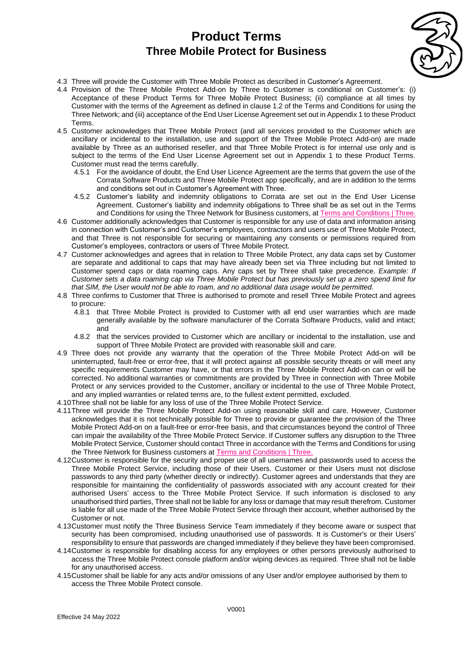

- 4.3 Three will provide the Customer with Three Mobile Protect as described in Customer's Agreement.
- 4.4 Provision of the Three Mobile Protect Add-on by Three to Customer is conditional on Customer's: (i) Acceptance of these Product Terms for Three Mobile Protect Business; (ii) compliance at all times by Customer with the terms of the Agreement as defined in clause 1.2 of the Terms and Conditions for using the Three Network; and (iii) acceptance of the End User License Agreement set out in Appendix 1 to these Product Terms.
- 4.5 Customer acknowledges that Three Mobile Protect (and all services provided to the Customer which are ancillary or incidental to the installation, use and support of the Three Mobile Protect Add-on) are made available by Three as an authorised reseller, and that Three Mobile Protect is for internal use only and is subject to the terms of the End User License Agreement set out in Appendix 1 to these Product Terms. Customer must read the terms carefully.
	- 4.5.1 For the avoidance of doubt, the End User Licence Agreement are the terms that govern the use of the Corrata Software Products and Three Mobile Protect app specifically, and are in addition to the terms and conditions set out in Customer's Agreement with Three.
	- 4.5.2 Customer's liability and indemnity obligations to Corrata are set out in the End User License Agreement. Customer's liability and indemnity obligations to Three shall be as set out in the Terms and Conditions for using the Three Network for Business customers, at [Terms and Conditions | Three.](https://www.three.co.uk/terms-conditions)
- 4.6 Customer additionally acknowledges that Customer is responsible for any use of data and information arising in connection with Customer's and Customer's employees, contractors and users use of Three Mobile Protect, and that Three is not responsible for securing or maintaining any consents or permissions required from Customer's employees, contractors or users of Three Mobile Protect.
- 4.7 Customer acknowledges and agrees that in relation to Three Mobile Protect, any data caps set by Customer are separate and additional to caps that may have already been set via Three including but not limited to Customer spend caps or data roaming caps. Any caps set by Three shall take precedence. *Example: If Customer sets a data roaming cap via Three Mobile Protect but has previously set up a zero spend limit for that SIM, the User would not be able to roam, and no additional data usage would be permitted.*
- 4.8 Three confirms to Customer that Three is authorised to promote and resell Three Mobile Protect and agrees to procure:
	- 4.8.1 that Three Mobile Protect is provided to Customer with all end user warranties which are made generally available by the software manufacturer of the Corrata Software Products, valid and intact; and
	- 4.8.2 that the services provided to Customer which are ancillary or incidental to the installation, use and support of Three Mobile Protect are provided with reasonable skill and care.
- 4.9 Three does not provide any warranty that the operation of the Three Mobile Protect Add-on will be uninterrupted, fault-free or error-free, that it will protect against all possible security threats or will meet any specific requirements Customer may have, or that errors in the Three Mobile Protect Add-on can or will be corrected. No additional warranties or commitments are provided by Three in connection with Three Mobile Protect or any services provided to the Customer, ancillary or incidental to the use of Three Mobile Protect, and any implied warranties or related terms are, to the fullest extent permitted, excluded.
- 4.10Three shall not be liable for any loss of use of the Three Mobile Protect Service.
- 4.11Three will provide the Three Mobile Protect Add-on using reasonable skill and care. However, Customer acknowledges that it is not technically possible for Three to provide or guarantee the provision of the Three Mobile Protect Add-on on a fault-free or error-free basis, and that circumstances beyond the control of Three can impair the availability of the Three Mobile Protect Service. If Customer suffers any disruption to the Three Mobile Protect Service, Customer should contact Three in accordance with the Terms and Conditions for using the Three Network for Business customers a[t Terms and Conditions | Three.](https://www.three.co.uk/terms-conditions)
- 4.12Customer is responsible for the security and proper use of all usernames and passwords used to access the Three Mobile Protect Service, including those of their Users. Customer or their Users must not disclose passwords to any third party (whether directly or indirectly). Customer agrees and understands that they are responsible for maintaining the confidentiality of passwords associated with any account created for their authorised Users' access to the Three Mobile Protect Service. If such information is disclosed to any unauthorised third parties, Three shall not be liable for any loss or damage that may result therefrom. Customer is liable for all use made of the Three Mobile Protect Service through their account, whether authorised by the Customer or not.
- 4.13Customer must notify the Three Business Service Team immediately if they become aware or suspect that security has been compromised, including unauthorised use of passwords. It is Customer's or their Users' responsibility to ensure that passwords are changed immediately if they believe they have been compromised.
- 4.14Customer is responsible for disabling access for any employees or other persons previously authorised to access the Three Mobile Protect console platform and/or wiping devices as required. Three shall not be liable for any unauthorised access.
- 4.15Customer shall be liable for any acts and/or omissions of any User and/or employee authorised by them to access the Three Mobile Protect console.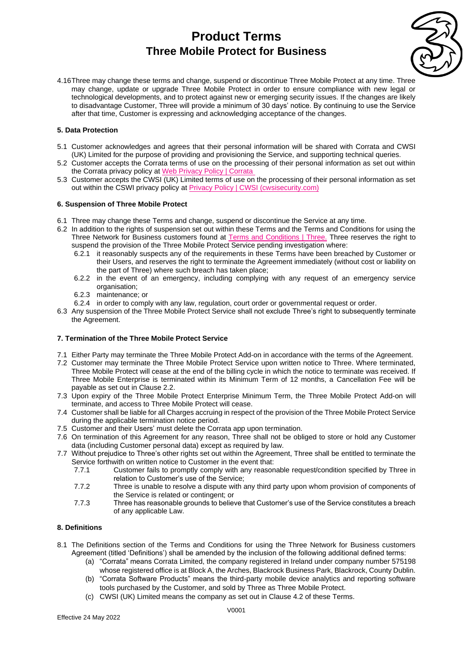

4.16Three may change these terms and change, suspend or discontinue Three Mobile Protect at any time. Three may change, update or upgrade Three Mobile Protect in order to ensure compliance with new legal or technological developments, and to protect against new or emerging security issues. If the changes are likely to disadvantage Customer, Three will provide a minimum of 30 days' notice. By continuing to use the Service after that time, Customer is expressing and acknowledging acceptance of the changes.

#### **5. Data Protection**

- 5.1 Customer acknowledges and agrees that their personal information will be shared with Corrata and CWSI (UK) Limited for the purpose of providing and provisioning the Service, and supporting technical queries.
- 5.2 Customer accepts the Corrata terms of use on the processing of their personal information as set out within the Corrata privacy policy at [Web Privacy Policy | Corrata](https://corrata.com/privacy-policy-2/)
- 5.3 Customer accepts the CWSI (UK) Limited terms of use on the processing of their personal information as set out within the CSWI privacy policy at [Privacy Policy | CWSI \(cwsisecurity.com\)](https://cwsisecurity.com/privacy-policy/)

#### **6. Suspension of Three Mobile Protect**

- 6.1 Three may change these Terms and change, suspend or discontinue the Service at any time.
- 6.2 In addition to the rights of suspension set out within these Terms and the Terms and Conditions for using the Three Network for Business customers found at [Terms and Conditions | Three.](https://www.three.co.uk/terms-conditions) Three reserves the right to suspend the provision of the Three Mobile Protect Service pending investigation where:
	- 6.2.1 it reasonably suspects any of the requirements in these Terms have been breached by Customer or their Users, and reserves the right to terminate the Agreement immediately (without cost or liability on the part of Three) where such breach has taken place;
	- 6.2.2 in the event of an emergency, including complying with any request of an emergency service organisation;
	- 6.2.3 maintenance; or
	- 6.2.4 in order to comply with any law, regulation, court order or governmental request or order.
- 6.3 Any suspension of the Three Mobile Protect Service shall not exclude Three's right to subsequently terminate the Agreement.

#### **7. Termination of the Three Mobile Protect Service**

- 7.1 Either Party may terminate the Three Mobile Protect Add-on in accordance with the terms of the Agreement.
- 7.2 Customer may terminate the Three Mobile Protect Service upon written notice to Three. Where terminated, Three Mobile Protect will cease at the end of the billing cycle in which the notice to terminate was received. If Three Mobile Enterprise is terminated within its Minimum Term of 12 months, a Cancellation Fee will be payable as set out in Clause 2.2.
- 7.3 Upon expiry of the Three Mobile Protect Enterprise Minimum Term, the Three Mobile Protect Add-on will terminate, and access to Three Mobile Protect will cease.
- 7.4 Customer shall be liable for all Charges accruing in respect of the provision of the Three Mobile Protect Service during the applicable termination notice period.
- 7.5 Customer and their Users' must delete the Corrata app upon termination.
- 7.6 On termination of this Agreement for any reason, Three shall not be obliged to store or hold any Customer data (including Customer personal data) except as required by law.
- 7.7 Without prejudice to Three's other rights set out within the Agreement, Three shall be entitled to terminate the Service forthwith on written notice to Customer in the event that:
	- 7.7.1 Customer fails to promptly comply with any reasonable request/condition specified by Three in relation to Customer's use of the Service;
	- 7.7.2 Three is unable to resolve a dispute with any third party upon whom provision of components of the Service is related or contingent; or
	- 7.7.3 Three has reasonable grounds to believe that Customer's use of the Service constitutes a breach of any applicable Law.

#### **8. Definitions**

- 8.1 The Definitions section of the Terms and Conditions for using the Three Network for Business customers Agreement (titled 'Definitions') shall be amended by the inclusion of the following additional defined terms:
	- (a) "Corrata" means Corrata Limited, the company registered in Ireland under company number 575198 whose registered office is at Block A, the Arches, Blackrock Business Park, Blackrock, County Dublin.
	- (b) "Corrata Software Products" means the third-party mobile device analytics and reporting software tools purchased by the Customer, and sold by Three as Three Mobile Protect.
	- (c) CWSI (UK) Limited means the company as set out in Clause 4.2 of these Terms.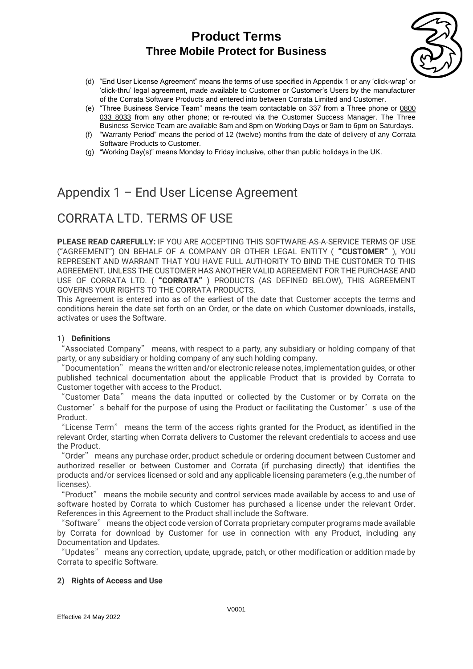

- (d) "End User License Agreement" means the terms of use specified in Appendix 1 or any 'click-wrap' or 'click-thru' legal agreement, made available to Customer or Customer's Users by the manufacturer of the Corrata Software Products and entered into between Corrata Limited and Customer.
- (e) "Three Business Service Team" means the team contactable on 337 from a Three phone or [0800](tel:0800%20033%208033)  [033 8033](tel:0800%20033%208033) from any other phone; or re-routed via the Customer Success Manager. The Three Business Service Team are available 8am and 8pm on Working Days or 9am to 6pm on Saturdays.
- (f) "Warranty Period" means the period of 12 (twelve) months from the date of delivery of any Corrata Software Products to Customer.
- (g) "Working Day(s)" means Monday to Friday inclusive, other than public holidays in the UK.

# Appendix 1 – End User License Agreement

# CORRATA LTD. TERMS OF USE

**PLEASE READ CAREFULLY:** IF YOU ARE ACCEPTING THIS SOFTWARE-AS-A-SERVICE TERMS OF USE ("AGREEMENT") ON BEHALF OF A COMPANY OR OTHER LEGAL ENTITY ("**CUSTOMER**"), YOU REPRESENT AND WARRANT THAT YOU HAVE FULL AUTHORITY TO BIND THE CUSTOMER TO THIS AGREEMENT. UNLESS THE CUSTOMER HAS ANOTHER VALID AGREEMENT FOR THE PURCHASE AND USE OF CORRATA LTD. ("**CORRATA**") PRODUCTS (AS DEFINED BELOW), THIS AGREEMENT GOVERNS YOUR RIGHTS TO THE CORRATA PRODUCTS.

This Agreement is entered into as of the earliest of the date that Customer accepts the terms and conditions herein the date set forth on an Order, or the date on which Customer downloads, installs, activates or uses the Software.

## 1) **Definitions**

"Associated Company" means, with respect to a party, any subsidiary or holding company of that party, or any subsidiary or holding company of any such holding company.

"Documentation" means the written and/or electronic release notes, implementation guides, or other published technical documentation about the applicable Product that is provided by Corrata to Customer together with access to the Product.

"Customer Data" means the data inputted or collected by the Customer or by Corrata on the Customer's behalf for the purpose of using the Product or facilitating the Customer's use of the Product.

"License Term" means the term of the access rights granted for the Product, as identified in the relevant Order, starting when Corrata delivers to Customer the relevant credentials to access and use the Product.

"Order" means any purchase order, product schedule or ordering document between Customer and authorized reseller or between Customer and Corrata (if purchasing directly) that identifies the products and/or services licensed or sold and any applicable licensing parameters (e.g.,the number of licenses).

"Product" means the mobile security and control services made available by access to and use of software hosted by Corrata to which Customer has purchased a license under the relevant Order. References in this Agreement to the Product shall include the Software.

"Software" means the object code version of Corrata proprietary computer programs made available by Corrata for download by Customer for use in connection with any Product, including any Documentation and Updates.

"Updates" means any correction, update, upgrade, patch, or other modification or addition made by Corrata to specific Software.

## **2) Rights of Access and Use**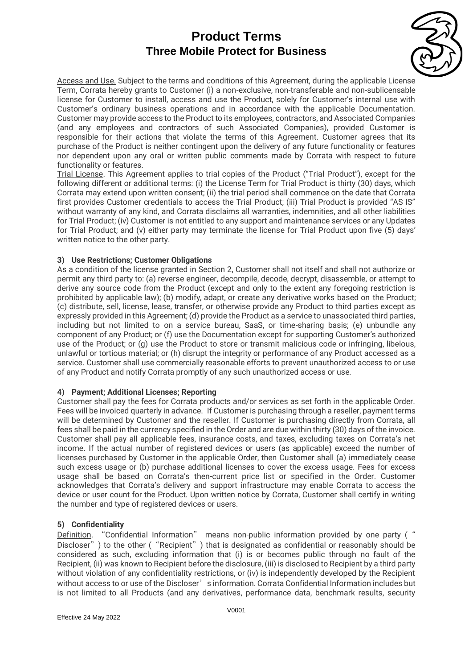

Access and Use. Subject to the terms and conditions of this Agreement, during the applicable License Term, Corrata hereby grants to Customer (i) a non-exclusive, non-transferable and non-sublicensable license for Customer to install, access and use the Product, solely for Customer's internal use with Customer's ordinary business operations and in accordance with the applicable Documentation. Customer may provide access to the Product to its employees, contractors, and Associated Companies (and any employees and contractors of such Associated Companies), provided Customer is responsible for their actions that violate the terms of this Agreement. Customer agrees that its purchase of the Product is neither contingent upon the delivery of any future functionality or features nor dependent upon any oral or written public comments made by Corrata with respect to future functionality or features.

Trial License. This Agreement applies to trial copies of the Product ("Trial Product"), except for the following different or additional terms: (i) the License Term for Trial Product is thirty (30) days, which Corrata may extend upon written consent; (ii) the trial period shall commence on the date that Corrata first provides Customer credentials to access the Trial Product; (iii) Trial Product is provided "AS IS" without warranty of any kind, and Corrata disclaims all warranties, indemnities, and all other liabilities for Trial Product; (iv) Customer is not entitled to any support and maintenance services or any Updates for Trial Product; and (v) either party may terminate the license for Trial Product upon five (5) days' written notice to the other party.

## **3) Use Restrictions; Customer Obligations**

As a condition of the license granted in Section 2, Customer shall not itself and shall not authorize or permit any third party to: (a) reverse engineer, decompile, decode, decrypt, disassemble, or attempt to derive any source code from the Product (except and only to the extent any foregoing restriction is prohibited by applicable law); (b) modify, adapt, or create any derivative works based on the Product; (c) distribute, sell, license, lease, transfer, or otherwise provide any Product to third parties except as expressly provided in this Agreement; (d) provide the Product as a service to unassociated third parties, including but not limited to on a service bureau, SaaS, or time-sharing basis; (e) unbundle any component of any Product; or (f) use the Documentation except for supporting Customer's authorized use of the Product; or (g) use the Product to store or transmit malicious code or infringing, libelous, unlawful or tortious material; or (h) disrupt the integrity or performance of any Product accessed as a service. Customer shall use commercially reasonable efforts to prevent unauthorized access to or use of any Product and notify Corrata promptly of any such unauthorized access or use.

## **4) Payment; Additional Licenses; Reporting**

Customer shall pay the fees for Corrata products and/or services as set forth in the applicable Order. Fees will be invoiced quarterly in advance. If Customer is purchasing through a reseller, payment terms will be determined by Customer and the reseller. If Customer is purchasing directly from Corrata, all fees shall be paid in the currency specified in the Order and are due within thirty (30) days of the invoice. Customer shall pay all applicable fees, insurance costs, and taxes, excluding taxes on Corrata's net income. If the actual number of registered devices or users (as applicable) exceed the number of licenses purchased by Customer in the applicable Order, then Customer shall (a) immediately cease such excess usage or (b) purchase additional licenses to cover the excess usage. Fees for excess usage shall be based on Corrata's then-current price list or specified in the Order. Customer acknowledges that Corrata's delivery and support infrastructure may enable Corrata to access the device or user count for the Product. Upon written notice by Corrata, Customer shall certify in writing the number and type of registered devices or users.

## **5) Confidentiality**

Definition. "Confidential Information" means non-public information provided by one party (" Discloser") to the other ("Recipient") that is designated as confidential or reasonably should be considered as such, excluding information that (i) is or becomes public through no fault of the Recipient, (ii) was known to Recipient before the disclosure, (iii) is disclosed to Recipient by a third party without violation of any confidentiality restrictions, or (iv) is independently developed by the Recipient without access to or use of the Discloser's information. Corrata Confidential Information includes but is not limited to all Products (and any derivatives, performance data, benchmark results, security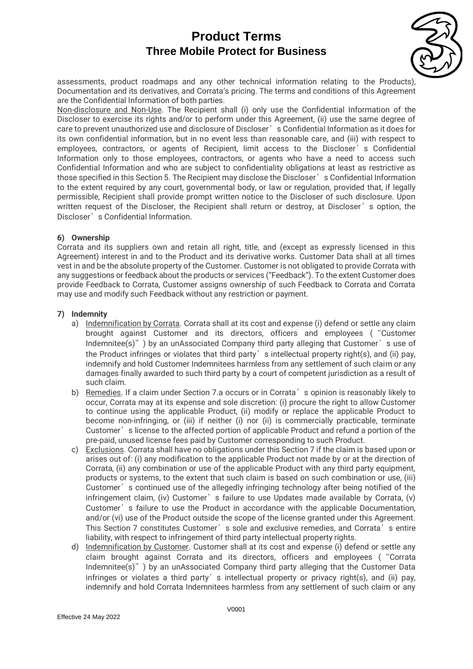

assessments, product roadmaps and any other technical information relating to the Products), Documentation and its derivatives, and Corrata's pricing. The terms and conditions of this Agreement are the Confidential Information of both parties.

Non-disclosure and Non-Use. The Recipient shall (i) only use the Confidential Information of the Discloser to exercise its rights and/or to perform under this Agreement, (ii) use the same degree of care to prevent unauthorized use and disclosure of Discloser's Confidential Information as it does for its own confidential information, but in no event less than reasonable care, and (iii) with respect to employees, contractors, or agents of Recipient, limit access to the Discloser's Confidential Information only to those employees, contractors, or agents who have a need to access such Confidential Information and who are subject to confidentiality obligations at least as restrictive as those specified in this Section 5. The Recipient may disclose the Discloser's Confidential Information to the extent required by any court, governmental body, or law or regulation, provided that, if legally permissible, Recipient shall provide prompt written notice to the Discloser of such disclosure. Upon written request of the Discloser, the Recipient shall return or destroy, at Discloser's option, the Discloser's Confidential Information.

## **6) Ownership**

Corrata and its suppliers own and retain all right, title, and (except as expressly licensed in this Agreement) interest in and to the Product and its derivative works. Customer Data shall at all times vest in and be the absolute property of the Customer. Customer is not obligated to provide Corrata with any suggestions or feedback about the products or services ("Feedback"). To the extent Customer does provide Feedback to Corrata, Customer assigns ownership of such Feedback to Corrata and Corrata may use and modify such Feedback without any restriction or payment.

#### **7) Indemnity**

- a) Indemnification by Corrata. Corrata shall at its cost and expense (i) defend or settle any claim brought against Customer and its directors, officers and employees ("Customer Indemnitee(s)") by an unAssociated Company third party alleging that Customer's use of the Product infringes or violates that third party's intellectual property right(s), and (ii) pay, indemnify and hold Customer Indemnitees harmless from any settlement of such claim or any damages finally awarded to such third party by a court of competent jurisdiction as a result of such claim.
- b) Remedies. If a claim under Section 7.a occurs or in Corrata's opinion is reasonably likely to occur, Corrata may at its expense and sole discretion: (i) procure the right to allow Customer to continue using the applicable Product, (ii) modify or replace the applicable Product to become non-infringing, or (iii) if neither (i) nor (ii) is commercially practicable, terminate Customer's license to the affected portion of applicable Product and refund a portion of the pre-paid, unused license fees paid by Customer corresponding to such Product.
- c) Exclusions. Corrata shall have no obligations under this Section 7 if the claim is based upon or arises out of: (i) any modification to the applicable Product not made by or at the direction of Corrata, (ii) any combination or use of the applicable Product with any third party equipment, products or systems, to the extent that such claim is based on such combination or use, (iii) Customer's continued use of the allegedly infringing technology after being notified of the infringement claim, (iv) Customer's failure to use Updates made available by Corrata, (v) Customer's failure to use the Product in accordance with the applicable Documentation, and/or (vi) use of the Product outside the scope of the license granted under this Agreement. This Section 7 constitutes Customer's sole and exclusive remedies, and Corrata's entire liability, with respect to infringement of third party intellectual property rights.
- d) Indemnification by Customer. Customer shall at its cost and expense (i) defend or settle any claim brought against Corrata and its directors, officers and employees ("Corrata Indemnitee(s)") by an unAssociated Company third party alleging that the Customer Data infringes or violates a third party's intellectual property or privacy right(s), and (ii) pay, indemnify and hold Corrata Indemnitees harmless from any settlement of such claim or any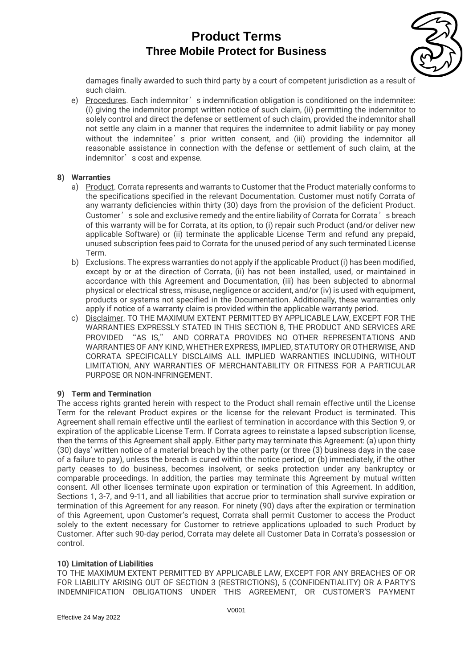

damages finally awarded to such third party by a court of competent jurisdiction as a result of such claim.

e) Procedures. Each indemnitor's indemnification obligation is conditioned on the indemnitee: (i) giving the indemnitor prompt written notice of such claim, (ii) permitting the indemnitor to solely control and direct the defense or settlement of such claim, provided the indemnitor shall not settle any claim in a manner that requires the indemnitee to admit liability or pay money without the indemnitee's prior written consent, and (iii) providing the indemnitor all reasonable assistance in connection with the defense or settlement of such claim, at the indemnitor's cost and expense.

## **8) Warranties**

- a) Product. Corrata represents and warrants to Customer that the Product materially conforms to the specifications specified in the relevant Documentation. Customer must notify Corrata of any warranty deficiencies within thirty (30) days from the provision of the deficient Product. Customer's sole and exclusive remedy and the entire liability of Corrata for Corrata's breach of this warranty will be for Corrata, at its option, to (i) repair such Product (and/or deliver new applicable Software) or (ii) terminate the applicable License Term and refund any prepaid, unused subscription fees paid to Corrata for the unused period of any such terminated License Term.
- b) Exclusions. The express warranties do not apply if the applicable Product (i) has been modified, except by or at the direction of Corrata, (ii) has not been installed, used, or maintained in accordance with this Agreement and Documentation, (iii) has been subjected to abnormal physical or electrical stress, misuse, negligence or accident, and/or (iv) is used with equipment, products or systems not specified in the Documentation. Additionally, these warranties only apply if notice of a warranty claim is provided within the applicable warranty period.
- c) Disclaimer. TO THE MAXIMUM EXTENT PERMITTED BY APPLICABLE LAW, EXCEPT FOR THE WARRANTIES EXPRESSLY STATED IN THIS SECTION 8, THE PRODUCT AND SERVICES ARE PROVIDED "AS IS," AND CORRATA PROVIDES NO OTHER REPRESENTATIONS AND WARRANTIES OF ANY KIND, WHETHER EXPRESS, IMPLIED, STATUTORY OR OTHERWISE, AND CORRATA SPECIFICALLY DISCLAIMS ALL IMPLIED WARRANTIES INCLUDING, WITHOUT LIMITATION, ANY WARRANTIES OF MERCHANTABILITY OR FITNESS FOR A PARTICULAR PURPOSE OR NON-INFRINGEMENT.

## **9) Term and Termination**

The access rights granted herein with respect to the Product shall remain effective until the License Term for the relevant Product expires or the license for the relevant Product is terminated. This Agreement shall remain effective until the earliest of termination in accordance with this Section 9, or expiration of the applicable License Term. If Corrata agrees to reinstate a lapsed subscription license, then the terms of this Agreement shall apply. Either party may terminate this Agreement: (a) upon thirty (30) days' written notice of a material breach by the other party (or three (3) business days in the case of a failure to pay), unless the breach is cured within the notice period, or (b) immediately, if the other party ceases to do business, becomes insolvent, or seeks protection under any bankruptcy or comparable proceedings. In addition, the parties may terminate this Agreement by mutual written consent. All other licenses terminate upon expiration or termination of this Agreement. In addition, Sections 1, 3-7, and 9-11, and all liabilities that accrue prior to termination shall survive expiration or termination of this Agreement for any reason. For ninety (90) days after the expiration or termination of this Agreement, upon Customer's request, Corrata shall permit Customer to access the Product solely to the extent necessary for Customer to retrieve applications uploaded to such Product by Customer. After such 90-day period, Corrata may delete all Customer Data in Corrata's possession or control.

## **10) Limitation of Liabilities**

TO THE MAXIMUM EXTENT PERMITTED BY APPLICABLE LAW, EXCEPT FOR ANY BREACHES OF OR FOR LIABILITY ARISING OUT OF SECTION 3 (RESTRICTIONS), 5 (CONFIDENTIALITY) OR A PARTY'S INDEMNIFICATION OBLIGATIONS UNDER THIS AGREEMENT, OR CUSTOMER'S PAYMENT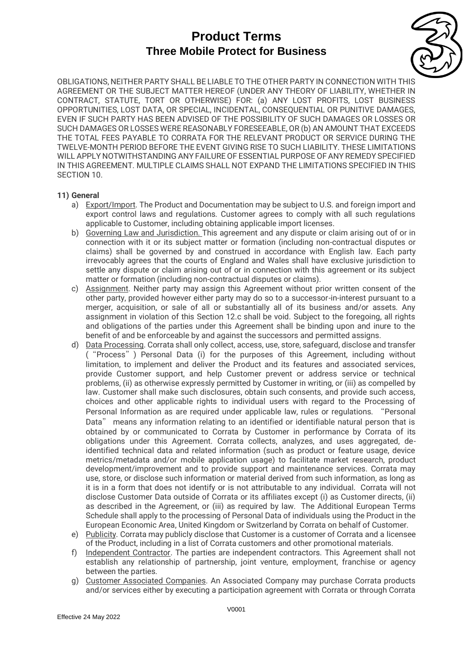

OBLIGATIONS, NEITHER PARTY SHALL BE LIABLE TO THE OTHER PARTY IN CONNECTION WITH THIS AGREEMENT OR THE SUBJECT MATTER HEREOF (UNDER ANY THEORY OF LIABILITY, WHETHER IN CONTRACT, STATUTE, TORT OR OTHERWISE) FOR: (a) ANY LOST PROFITS, LOST BUSINESS OPPORTUNITIES, LOST DATA, OR SPECIAL, INCIDENTAL, CONSEQUENTIAL OR PUNITIVE DAMAGES, EVEN IF SUCH PARTY HAS BEEN ADVISED OF THE POSSIBILITY OF SUCH DAMAGES OR LOSSES OR SUCH DAMAGES OR LOSSES WERE REASONABLY FORESEEABLE, OR (b) AN AMOUNT THAT EXCEEDS THE TOTAL FEES PAYABLE TO CORRATA FOR THE RELEVANT PRODUCT OR SERVICE DURING THE TWELVE-MONTH PERIOD BEFORE THE EVENT GIVING RISE TO SUCH LIABILITY. THESE LIMITATIONS WILL APPLY NOTWITHSTANDING ANY FAILURE OF ESSENTIAL PURPOSE OF ANY REMEDY SPECIFIED IN THIS AGREEMENT. MULTIPLE CLAIMS SHALL NOT EXPAND THE LIMITATIONS SPECIFIED IN THIS SECTION 10.

#### **11) General**

- a) Export/Import. The Product and Documentation may be subject to U.S. and foreign import and export control laws and regulations. Customer agrees to comply with all such regulations applicable to Customer, including obtaining applicable import licenses.
- b) Governing Law and Jurisdiction. This agreement and any dispute or claim arising out of or in connection with it or its subject matter or formation (including non-contractual disputes or claims) shall be governed by and construed in accordance with English law. Each party irrevocably agrees that the courts of England and Wales shall have exclusive jurisdiction to settle any dispute or claim arising out of or in connection with this agreement or its subject matter or formation (including non-contractual disputes or claims).
- c) Assignment. Neither party may assign this Agreement without prior written consent of the other party, provided however either party may do so to a successor-in-interest pursuant to a merger, acquisition, or sale of all or substantially all of its business and/or assets. Any assignment in violation of this Section 12.c shall be void. Subject to the foregoing, all rights and obligations of the parties under this Agreement shall be binding upon and inure to the benefit of and be enforceable by and against the successors and permitted assigns.
- d) Data Processing. Corrata shall only collect, access, use, store, safeguard, disclose and transfer ("Process") Personal Data (i) for the purposes of this Agreement, including without limitation, to implement and deliver the Product and its features and associated services, provide Customer support, and help Customer prevent or address service or technical problems, (ii) as otherwise expressly permitted by Customer in writing, or (iii) as compelled by law. Customer shall make such disclosures, obtain such consents, and provide such access, choices and other applicable rights to individual users with regard to the Processing of Personal Information as are required under applicable law, rules or regulations. "Personal Data" means any information relating to an identified or identifiable natural person that is obtained by or communicated to Corrata by Customer in performance by Corrata of its obligations under this Agreement. Corrata collects, analyzes, and uses aggregated, deidentified technical data and related information (such as product or feature usage, device metrics/metadata and/or mobile application usage) to facilitate market research, product development/improvement and to provide support and maintenance services. Corrata may use, store, or disclose such information or material derived from such information, as long as it is in a form that does not identify or is not attributable to any individual. Corrata will not disclose Customer Data outside of Corrata or its affiliates except (i) as Customer directs, (ii) as described in the Agreement, or (iii) as required by law. The Additional European Terms Schedule shall apply to the processing of Personal Data of individuals using the Product in the European Economic Area, United Kingdom or Switzerland by Corrata on behalf of Customer.
- e) Publicity. Corrata may publicly disclose that Customer is a customer of Corrata and a licensee of the Product, including in a list of Corrata customers and other promotional materials.
- f) Independent Contractor. The parties are independent contractors. This Agreement shall not establish any relationship of partnership, joint venture, employment, franchise or agency between the parties.
- g) Customer Associated Companies. An Associated Company may purchase Corrata products and/or services either by executing a participation agreement with Corrata or through Corrata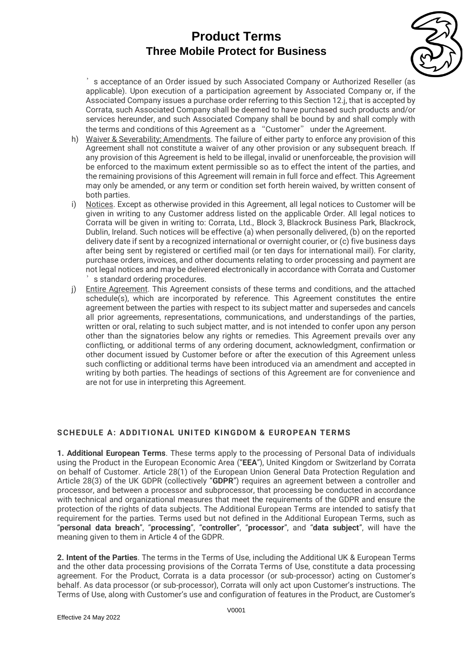

's acceptance of an Order issued by such Associated Company or Authorized Reseller (as applicable). Upon execution of a participation agreement by Associated Company or, if the Associated Company issues a purchase order referring to this Section 12.j, that is accepted by Corrata, such Associated Company shall be deemed to have purchased such products and/or services hereunder, and such Associated Company shall be bound by and shall comply with the terms and conditions of this Agreement as a "Customer" under the Agreement.

- h) Waiver & Severability; Amendments. The failure of either party to enforce any provision of this Agreement shall not constitute a waiver of any other provision or any subsequent breach. If any provision of this Agreement is held to be illegal, invalid or unenforceable, the provision will be enforced to the maximum extent permissible so as to effect the intent of the parties, and the remaining provisions of this Agreement will remain in full force and effect. This Agreement may only be amended, or any term or condition set forth herein waived, by written consent of both parties.
- i) Notices. Except as otherwise provided in this Agreement, all legal notices to Customer will be given in writing to any Customer address listed on the applicable Order. All legal notices to Corrata will be given in writing to: Corrata, Ltd., Block 3, Blackrock Business Park, Blackrock, Dublin, Ireland. Such notices will be effective (a) when personally delivered, (b) on the reported delivery date if sent by a recognized international or overnight courier, or (c) five business days after being sent by registered or certified mail (or ten days for international mail). For clarity, purchase orders, invoices, and other documents relating to order processing and payment are not legal notices and may be delivered electronically in accordance with Corrata and Customer s standard ordering procedures.
- j) Entire Agreement. This Agreement consists of these terms and conditions, and the attached schedule(s), which are incorporated by reference. This Agreement constitutes the entire agreement between the parties with respect to its subject matter and supersedes and cancels all prior agreements, representations, communications, and understandings of the parties, written or oral, relating to such subject matter, and is not intended to confer upon any person other than the signatories below any rights or remedies. This Agreement prevails over any conflicting, or additional terms of any ordering document, acknowledgment, confirmation or other document issued by Customer before or after the execution of this Agreement unless such conflicting or additional terms have been introduced via an amendment and accepted in writing by both parties. The headings of sections of this Agreement are for convenience and are not for use in interpreting this Agreement.

## SCHEDULE A: ADDITIONAL UNITED KINGDOM & EUROPEAN TERMS

**1. Additional European Terms**. These terms apply to the processing of Personal Data of individuals using the Product in the European Economic Area ("**EEA**"), United Kingdom or Switzerland by Corrata on behalf of Customer. Article 28(1) of the European Union General Data Protection Regulation and Article 28(3) of the UK GDPR (collectively "**GDPR**") requires an agreement between a controller and processor, and between a processor and subprocessor, that processing be conducted in accordance with technical and organizational measures that meet the requirements of the GDPR and ensure the protection of the rights of data subjects. The Additional European Terms are intended to satisfy that requirement for the parties. Terms used but not defined in the Additional European Terms, such as "**personal data breach**", "**processing**", "**controller**", "**processor**", and "**data subject**", will have the meaning given to them in Article 4 of the GDPR.

**2. Intent of the Parties**. The terms in the Terms of Use, including the Additional UK & European Terms and the other data processing provisions of the Corrata Terms of Use, constitute a data processing agreement. For the Product, Corrata is a data processor (or sub-processor) acting on Customer's behalf. As data processor (or sub-processor), Corrata will only act upon Customer's instructions. The Terms of Use, along with Customer's use and configuration of features in the Product, are Customer's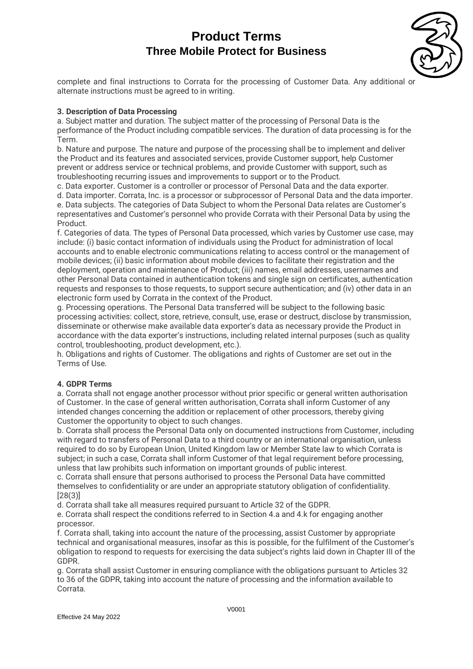

complete and final instructions to Corrata for the processing of Customer Data. Any additional or alternate instructions must be agreed to in writing.

## **3. Description of Data Processing**

a. Subject matter and duration. The subject matter of the processing of Personal Data is the performance of the Product including compatible services. The duration of data processing is for the Term.

b. Nature and purpose. The nature and purpose of the processing shall be to implement and deliver the Product and its features and associated services, provide Customer support, help Customer prevent or address service or technical problems, and provide Customer with support, such as troubleshooting recurring issues and improvements to support or to the Product.

c. Data exporter. Customer is a controller or processor of Personal Data and the data exporter.

d. Data importer. Corrata, Inc. is a processor or subprocessor of Personal Data and the data importer. e. Data subjects. The categories of Data Subject to whom the Personal Data relates are Customer's representatives and Customer's personnel who provide Corrata with their Personal Data by using the Product.

f. Categories of data. The types of Personal Data processed, which varies by Customer use case, may include: (i) basic contact information of individuals using the Product for administration of local accounts and to enable electronic communications relating to access control or the management of mobile devices; (ii) basic information about mobile devices to facilitate their registration and the deployment, operation and maintenance of Product; (iii) names, email addresses, usernames and other Personal Data contained in authentication tokens and single sign on certificates, authentication requests and responses to those requests, to support secure authentication; and (iv) other data in an electronic form used by Corrata in the context of the Product.

g. Processing operations. The Personal Data transferred will be subject to the following basic processing activities: collect, store, retrieve, consult, use, erase or destruct, disclose by transmission, disseminate or otherwise make available data exporter's data as necessary provide the Product in accordance with the data exporter's instructions, including related internal purposes (such as quality control, troubleshooting, product development, etc.).

h. Obligations and rights of Customer. The obligations and rights of Customer are set out in the Terms of Use.

## **4. GDPR Terms**

a. Corrata shall not engage another processor without prior specific or general written authorisation of Customer. In the case of general written authorisation, Corrata shall inform Customer of any intended changes concerning the addition or replacement of other processors, thereby giving Customer the opportunity to object to such changes.

b. Corrata shall process the Personal Data only on documented instructions from Customer, including with regard to transfers of Personal Data to a third country or an international organisation, unless required to do so by European Union, United Kingdom law or Member State law to which Corrata is subject; in such a case, Corrata shall inform Customer of that legal requirement before processing, unless that law prohibits such information on important grounds of public interest.

c. Corrata shall ensure that persons authorised to process the Personal Data have committed themselves to confidentiality or are under an appropriate statutory obligation of confidentiality. [28(3)]

d. Corrata shall take all measures required pursuant to Article 32 of the GDPR.

e. Corrata shall respect the conditions referred to in Section 4.a and 4.k for engaging another processor.

f. Corrata shall, taking into account the nature of the processing, assist Customer by appropriate technical and organisational measures, insofar as this is possible, for the fulfilment of the Customer's obligation to respond to requests for exercising the data subject's rights laid down in Chapter III of the GDPR.

g. Corrata shall assist Customer in ensuring compliance with the obligations pursuant to Articles 32 to 36 of the GDPR, taking into account the nature of processing and the information available to Corrata.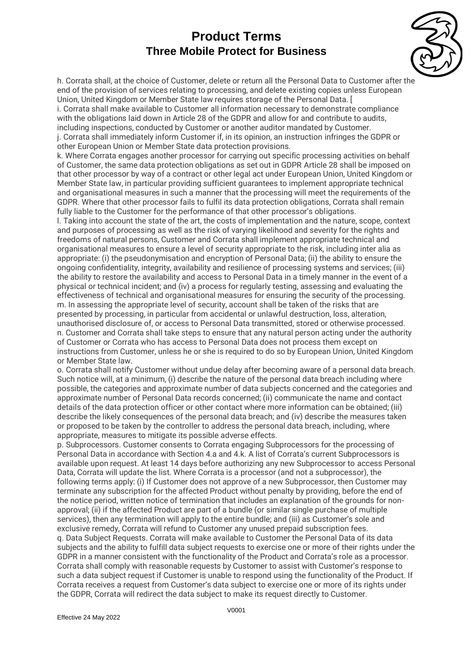

h. Corrata shall, at the choice of Customer, delete or return all the Personal Data to Customer after the end of the provision of services relating to processing, and delete existing copies unless European Union, United Kingdom or Member State law requires storage of the Personal Data. [

i. Corrata shall make available to Customer all information necessary to demonstrate compliance with the obligations laid down in Article 28 of the GDPR and allow for and contribute to audits. including inspections, conducted by Customer or another auditor mandated by Customer. j. Corrata shall immediately inform Customer if, in its opinion, an instruction infringes the GDPR or other European Union or Member State data protection provisions.

k. Where Corrata engages another processor for carrying out specific processing activities on behalf of Customer, the same data protection obligations as set out in GDPR Article 28 shall be imposed on that other processor by way of a contract or other legal act under European Union, United Kingdom or Member State law, in particular providing sufficient guarantees to implement appropriate technical and organisational measures in such a manner that the processing will meet the requirements of the GDPR. Where that other processor fails to fulfil its data protection obligations, Corrata shall remain fully liable to the Customer for the performance of that other processor's obligations.

l. Taking into account the state of the art, the costs of implementation and the nature, scope, context and purposes of processing as well as the risk of varying likelihood and severity for the rights and freedoms of natural persons, Customer and Corrata shall implement appropriate technical and organisational measures to ensure a level of security appropriate to the risk, including inter alia as appropriate: (i) the pseudonymisation and encryption of Personal Data; (ii) the ability to ensure the ongoing confidentiality, integrity, availability and resilience of processing systems and services; (iii) the ability to restore the availability and access to Personal Data in a timely manner in the event of a physical or technical incident; and (iv) a process for regularly testing, assessing and evaluating the effectiveness of technical and organisational measures for ensuring the security of the processing. m. In assessing the appropriate level of security, account shall be taken of the risks that are presented by processing, in particular from accidental or unlawful destruction, loss, alteration, unauthorised disclosure of, or access to Personal Data transmitted, stored or otherwise processed. n. Customer and Corrata shall take steps to ensure that any natural person acting under the authority of Customer or Corrata who has access to Personal Data does not process them except on instructions from Customer, unless he or she is required to do so by European Union, United Kingdom or Member State law.

o. Corrata shall notify Customer without undue delay after becoming aware of a personal data breach. Such notice will, at a minimum, (i) describe the nature of the personal data breach including where possible, the categories and approximate number of data subjects concerned and the categories and approximate number of Personal Data records concerned; (ii) communicate the name and contact details of the data protection officer or other contact where more information can be obtained; (iii) describe the likely consequences of the personal data breach; and (iv) describe the measures taken or proposed to be taken by the controller to address the personal data breach, including, where appropriate, measures to mitigate its possible adverse effects.

p. Subprocessors. Customer consents to Corrata engaging Subprocessors for the processing of Personal Data in accordance with Section 4.a and 4.k. A list of Corrata's current Subprocessors is available upon request. At least 14 days before authorizing any new Subprocessor to access Personal Data, Corrata will update the list. Where Corrata is a processor (and not a subprocessor), the following terms apply: (i) If Customer does not approve of a new Subprocessor, then Customer may terminate any subscription for the affected Product without penalty by providing, before the end of the notice period, written notice of termination that includes an explanation of the grounds for nonapproval; (ii) if the affected Product are part of a bundle (or similar single purchase of multiple services), then any termination will apply to the entire bundle; and (iii) as Customer's sole and exclusive remedy, Corrata will refund to Customer any unused prepaid subscription fees. q. Data Subject Requests. Corrata will make available to Customer the Personal Data of its data subjects and the ability to fulfill data subject requests to exercise one or more of their rights under the GDPR in a manner consistent with the functionality of the Product and Corrata's role as a processor. Corrata shall comply with reasonable requests by Customer to assist with Customer's response to such a data subject request if Customer is unable to respond using the functionality of the Product. If Corrata receives a request from Customer's data subject to exercise one or more of its rights under the GDPR, Corrata will redirect the data subject to make its request directly to Customer.